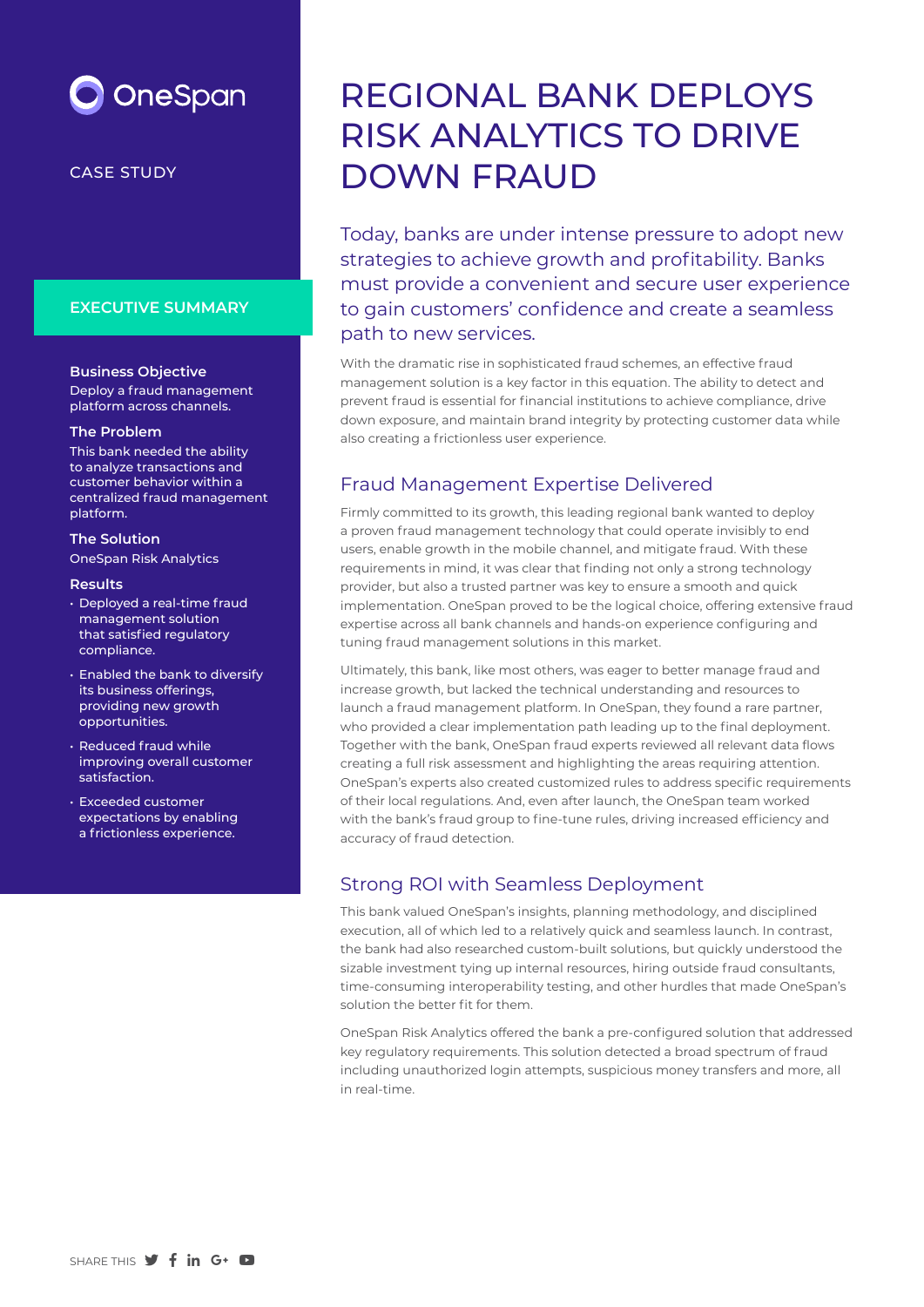

#### CASE STUDY

#### **EXECUTIVE SUMMARY**

#### **Business Objective**

Deploy a fraud management platform across channels.

#### **The Problem**

This bank needed the ability to analyze transactions and customer behavior within a centralized fraud management platform.

#### **The Solution**

OneSpan Risk Analytics

#### **Results**

- Deployed a real-time fraud management solution that satisfied regulatory compliance.
- Enabled the bank to diversify its business offerings, providing new growth opportunities.
- Reduced fraud while improving overall customer satisfaction.
- Exceeded customer expectations by enabling a frictionless experience.

# REGIONAL BANK DEPLOYS RISK ANALYTICS TO DRIVE DOWN FRAUD

Today, banks are under intense pressure to adopt new strategies to achieve growth and profitability. Banks must provide a convenient and secure user experience to gain customers' confidence and create a seamless path to new services.

With the dramatic rise in sophisticated fraud schemes, an effective fraud management solution is a key factor in this equation. The ability to detect and prevent fraud is essential for financial institutions to achieve compliance, drive down exposure, and maintain brand integrity by protecting customer data while also creating a frictionless user experience.

#### Fraud Management Expertise Delivered

Firmly committed to its growth, this leading regional bank wanted to deploy a proven fraud management technology that could operate invisibly to end users, enable growth in the mobile channel, and mitigate fraud. With these requirements in mind, it was clear that finding not only a strong technology provider, but also a trusted partner was key to ensure a smooth and quick implementation. OneSpan proved to be the logical choice, offering extensive fraud expertise across all bank channels and hands-on experience configuring and tuning fraud management solutions in this market.

Ultimately, this bank, like most others, was eager to better manage fraud and increase growth, but lacked the technical understanding and resources to launch a fraud management platform. In OneSpan, they found a rare partner, who provided a clear implementation path leading up to the final deployment. Together with the bank, OneSpan fraud experts reviewed all relevant data flows creating a full risk assessment and highlighting the areas requiring attention. OneSpan's experts also created customized rules to address specific requirements of their local regulations. And, even after launch, the OneSpan team worked with the bank's fraud group to fine-tune rules, driving increased efficiency and accuracy of fraud detection.

## Strong ROI with Seamless Deployment

This bank valued OneSpan's insights, planning methodology, and disciplined execution, all of which led to a relatively quick and seamless launch. In contrast, the bank had also researched custom-built solutions, but quickly understood the sizable investment tying up internal resources, hiring outside fraud consultants, time-consuming interoperability testing, and other hurdles that made OneSpan's solution the better fit for them.

OneSpan Risk Analytics offered the bank a pre-configured solution that addressed key regulatory requirements. This solution detected a broad spectrum of fraud including unauthorized login attempts, suspicious money transfers and more, all in real-time.